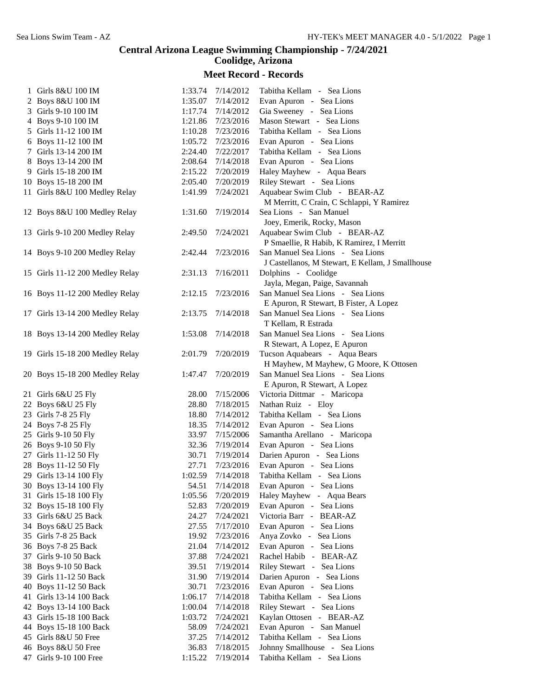## **Central Arizona League Swimming Championship - 7/24/2021 Coolidge, Arizona**

## **Meet Record - Records**

| 1 Girls 8&U 100 IM              | 1:33.74 | 7/14/2012         | Tabitha Kellam - Sea Lions                       |
|---------------------------------|---------|-------------------|--------------------------------------------------|
| 2 Boys 8&U 100 IM               | 1:35.07 | 7/14/2012         | Evan Apuron - Sea Lions                          |
| 3 Girls 9-10 100 IM             | 1:17.74 | 7/14/2012         | Gia Sweeney - Sea Lions                          |
| 4 Boys 9-10 100 IM              | 1:21.86 | 7/23/2016         | Mason Stewart - Sea Lions                        |
| 5 Girls 11-12 100 IM            |         | 1:10.28 7/23/2016 | Tabitha Kellam - Sea Lions                       |
| 6 Boys 11-12 100 IM             | 1:05.72 | 7/23/2016         | Evan Apuron - Sea Lions                          |
| 7 Girls 13-14 200 IM            | 2:24.40 | 7/22/2017         | Tabitha Kellam - Sea Lions                       |
| 8 Boys 13-14 200 IM             | 2:08.64 | 7/14/2018         | Evan Apuron - Sea Lions                          |
| 9 Girls 15-18 200 IM            | 2:15.22 | 7/20/2019         | Haley Mayhew - Aqua Bears                        |
| 10 Boys 15-18 200 IM            | 2:05.40 | 7/20/2019         | Riley Stewart - Sea Lions                        |
| 11 Girls 8&U 100 Medley Relay   | 1:41.99 | 7/24/2021         | Aquabear Swim Club - BEAR-AZ                     |
|                                 |         |                   | M Merritt, C Crain, C Schlappi, Y Ramirez        |
| 12 Boys 8&U 100 Medley Relay    | 1:31.60 | 7/19/2014         | Sea Lions - San Manuel                           |
|                                 |         |                   | Joey, Emerik, Rocky, Mason                       |
| 13 Girls 9-10 200 Medley Relay  | 2:49.50 | 7/24/2021         | Aquabear Swim Club - BEAR-AZ                     |
|                                 |         |                   | P Smaellie, R Habib, K Ramirez, I Merritt        |
| 14 Boys 9-10 200 Medley Relay   | 2:42.44 | 7/23/2016         | San Manuel Sea Lions - Sea Lions                 |
|                                 |         |                   | J Castellanos, M Stewart, E Kellam, J Smallhouse |
| 15 Girls 11-12 200 Medley Relay | 2:31.13 | 7/16/2011         | Dolphins - Coolidge                              |
|                                 |         |                   | Jayla, Megan, Paige, Savannah                    |
| 16 Boys 11-12 200 Medley Relay  | 2:12.15 | 7/23/2016         | San Manuel Sea Lions - Sea Lions                 |
|                                 |         |                   | E Apuron, R Stewart, B Fister, A Lopez           |
| 17 Girls 13-14 200 Medley Relay | 2:13.75 | 7/14/2018         | San Manuel Sea Lions - Sea Lions                 |
|                                 |         |                   | T Kellam, R Estrada                              |
| 18 Boys 13-14 200 Medley Relay  | 1:53.08 | 7/14/2018         | San Manuel Sea Lions - Sea Lions                 |
|                                 |         |                   | R Stewart, A Lopez, E Apuron                     |
| 19 Girls 15-18 200 Medley Relay | 2:01.79 | 7/20/2019         | Tucson Aquabears - Aqua Bears                    |
|                                 |         |                   | H Mayhew, M Mayhew, G Moore, K Ottosen           |
| 20 Boys 15-18 200 Medley Relay  | 1:47.47 | 7/20/2019         | San Manuel Sea Lions - Sea Lions                 |
|                                 |         |                   | E Apuron, R Stewart, A Lopez                     |
| 21 Girls 6&U 25 Fly             | 28.00   | 7/15/2006         | Victoria Dittmar - Maricopa                      |
| 22 Boys 6&U 25 Fly              | 28.80   | 7/18/2015         | Nathan Ruiz - Eloy                               |
| 23 Girls 7-8 25 Fly             | 18.80   | 7/14/2012         | Tabitha Kellam - Sea Lions                       |
| 24 Boys 7-8 25 Fly              | 18.35   | 7/14/2012         | Evan Apuron - Sea Lions                          |
| 25 Girls 9-10 50 Fly            | 33.97   | 7/15/2006         | Samantha Arellano - Maricopa                     |
| 26 Boys 9-10 50 Fly             | 32.36   | 7/19/2014         | Evan Apuron - Sea Lions                          |
| 27 Girls 11-12 50 Fly           | 30.71   | 7/19/2014         | Darien Apuron - Sea Lions                        |
| 28 Boys 11-12 50 Fly            | 27.71   | 7/23/2016         | Evan Apuron - Sea Lions                          |
| 29 Girls 13-14 100 Fly          | 1:02.59 | 7/14/2018         | Tabitha Kellam - Sea Lions                       |
| 30 Boys 13-14 100 Fly           | 54.51   | 7/14/2018         | Evan Apuron - Sea Lions                          |
| 31 Girls 15-18 100 Fly          | 1:05.56 | 7/20/2019         | Haley Mayhew - Aqua Bears                        |
| 32 Boys 15-18 100 Fly           | 52.83   | 7/20/2019         | Evan Apuron - Sea Lions                          |
| 33 Girls 6&U 25 Back            | 24.27   | 7/24/2021         | Victoria Barr - BEAR-AZ                          |
| 34 Boys 6&U 25 Back             | 27.55   | 7/17/2010         | Evan Apuron - Sea Lions                          |
| 35 Girls 7-8 25 Back            | 19.92   | 7/23/2016         | Anya Zovko - Sea Lions                           |
| 36 Boys 7-8 25 Back             | 21.04   | 7/14/2012         | Evan Apuron - Sea Lions                          |
| 37 Girls 9-10 50 Back           | 37.88   | 7/24/2021         | Rachel Habib - BEAR-AZ                           |
| 38 Boys 9-10 50 Back            | 39.51   | 7/19/2014         | Riley Stewart - Sea Lions                        |
| 39 Girls 11-12 50 Back          | 31.90   | 7/19/2014         | Darien Apuron - Sea Lions                        |
| 40 Boys 11-12 50 Back           | 30.71   | 7/23/2016         | Evan Apuron - Sea Lions                          |
| 41 Girls 13-14 100 Back         | 1:06.17 | 7/14/2018         | Tabitha Kellam - Sea Lions                       |
| 42 Boys 13-14 100 Back          | 1:00.04 | 7/14/2018         | Riley Stewart - Sea Lions                        |
| 43 Girls 15-18 100 Back         | 1:03.72 | 7/24/2021         | Kaylan Ottosen - BEAR-AZ                         |
| 44 Boys 15-18 100 Back          | 58.09   | 7/24/2021         | Evan Apuron - San Manuel                         |
| 45 Girls 8&U 50 Free            | 37.25   | 7/14/2012         | Tabitha Kellam - Sea Lions                       |
| 46 Boys 8&U 50 Free             | 36.83   | 7/18/2015         | Johnny Smallhouse - Sea Lions                    |
| 47 Girls 9-10 100 Free          | 1:15.22 | 7/19/2014         | Tabitha Kellam - Sea Lions                       |
|                                 |         |                   |                                                  |